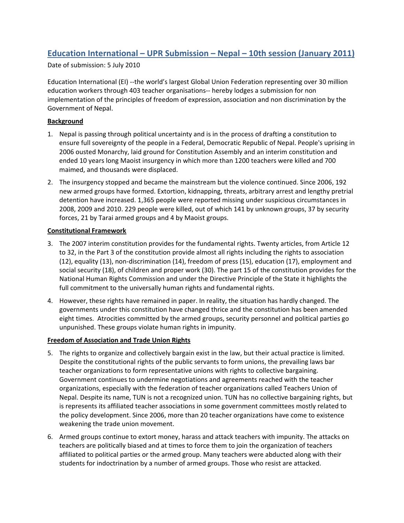# **Education International – UPR Submission – Nepal – 10th session (January 2011)**

Date of submission: 5 July 2010

Education International (EI) ‐‐the world's largest Global Union Federation representing over 30 million education workers through 403 teacher organisations‐‐ hereby lodges a submission for non implementation of the principles of freedom of expression, association and non discrimination by the Government of Nepal.

## **Background**

- 1. Nepal is passing through political uncertainty and is in the process of drafting a constitution to ensure full sovereignty of the people in a Federal, Democratic Republic of Nepal. People's uprising in 2006 ousted Monarchy, laid ground for Constitution Assembly and an interim constitution and ended 10 years long Maoist insurgency in which more than 1200 teachers were killed and 700 maimed, and thousands were displaced.
- 2. The insurgency stopped and became the mainstream but the violence continued. Since 2006, 192 new armed groups have formed. Extortion, kidnapping, threats, arbitrary arrest and lengthy pretrial detention have increased. 1,365 people were reported missing under suspicious circumstances in 2008, 2009 and 2010. 229 people were killed, out of which 141 by unknown groups, 37 by security forces, 21 by Tarai armed groups and 4 by Maoist groups.

#### **Constitutional Framework**

- 3. The 2007 interim constitution provides for the fundamental rights. Twenty articles, from Article 12 to 32, in the Part 3 of the constitution provide almost all rights including the rights to association (12), equality (13), non‐discrimination (14), freedom of press (15), education (17), employment and social security (18), of children and proper work (30). The part 15 of the constitution provides for the National Human Rights Commission and under the Directive Principle of the State it highlights the full commitment to the universally human rights and fundamental rights.
- 4. However, these rights have remained in paper. In reality, the situation has hardly changed. The governments under this constitution have changed thrice and the constitution has been amended eight times. Atrocities committed by the armed groups, security personnel and political parties go unpunished. These groups violate human rights in impunity.

### **Freedom of Association and Trade Union Rights**

- 5. The rights to organize and collectively bargain exist in the law, but their actual practice is limited. Despite the constitutional rights of the public servants to form unions, the prevailing laws bar teacher organizations to form representative unions with rights to collective bargaining. Government continues to undermine negotiations and agreements reached with the teacher organizations, especially with the federation of teacher organizations called Teachers Union of Nepal. Despite its name, TUN is not a recognized union. TUN has no collective bargaining rights, but is represents its affiliated teacher associations in some government committees mostly related to the policy development. Since 2006, more than 20 teacher organizations have come to existence weakening the trade union movement.
- 6. Armed groups continue to extort money, harass and attack teachers with impunity. The attacks on teachers are politically biased and at times to force them to join the organization of teachers affiliated to political parties or the armed group. Many teachers were abducted along with their students for indoctrination by a number of armed groups. Those who resist are attacked.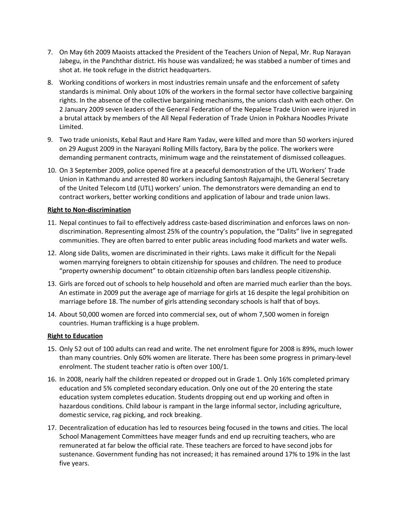- 7. On May 6th 2009 Maoists attacked the President of the Teachers Union of Nepal, Mr. Rup Narayan Jabegu, in the Panchthar district. His house was vandalized; he was stabbed a number of times and shot at. He took refuge in the district headquarters.
- 8. Working conditions of workers in most industries remain unsafe and the enforcement of safety standards is minimal. Only about 10% of the workers in the formal sector have collective bargaining rights. In the absence of the collective bargaining mechanisms, the unions clash with each other. On 2 January 2009 seven leaders of the General Federation of the Nepalese Trade Union were injured in a brutal attack by members of the All Nepal Federation of Trade Union in Pokhara Noodles Private Limited.
- 9. Two trade unionists, Kebal Raut and Hare Ram Yadav, were killed and more than 50 workers injured on 29 August 2009 in the Narayani Rolling Mills factory, Bara by the police. The workers were demanding permanent contracts, minimum wage and the reinstatement of dismissed colleagues.
- 10. On 3 September 2009, police opened fire at a peaceful demonstration of the UTL Workers' Trade Union in Kathmandu and arrested 80 workers including Santosh Rajyamajhi, the General Secretary of the United Telecom Ltd (UTL) workers' union. The demonstrators were demanding an end to contract workers, better working conditions and application of labour and trade union laws.

#### **Right to Non‐discrimination**

- 11. Nepal continues to fail to effectively address caste‐based discrimination and enforces laws on non‐ discrimination. Representing almost 25% of the country's population, the "Dalits" live in segregated communities. They are often barred to enter public areas including food markets and water wells.
- 12. Along side Dalits, women are discriminated in their rights. Laws make it difficult for the Nepali women marrying foreigners to obtain citizenship for spouses and children. The need to produce "property ownership document" to obtain citizenship often bars landless people citizenship.
- 13. Girls are forced out of schools to help household and often are married much earlier than the boys. An estimate in 2009 put the average age of marriage for girls at 16 despite the legal prohibition on marriage before 18. The number of girls attending secondary schools is half that of boys.
- 14. About 50,000 women are forced into commercial sex, out of whom 7,500 women in foreign countries. Human trafficking is a huge problem.

#### **Right to Education**

- 15. Only 52 out of 100 adults can read and write. The net enrolment figure for 2008 is 89%, much lower than many countries. Only 60% women are literate. There has been some progress in primary‐level enrolment. The student teacher ratio is often over 100/1.
- 16. In 2008, nearly half the children repeated or dropped out in Grade 1. Only 16% completed primary education and 5% completed secondary education. Only one out of the 20 entering the state education system completes education. Students dropping out end up working and often in hazardous conditions. Child labour is rampant in the large informal sector, including agriculture, domestic service, rag picking, and rock breaking.
- 17. Decentralization of education has led to resources being focused in the towns and cities. The local School Management Committees have meager funds and end up recruiting teachers, who are remunerated at far below the official rate. These teachers are forced to have second jobs for sustenance. Government funding has not increased; it has remained around 17% to 19% in the last five years.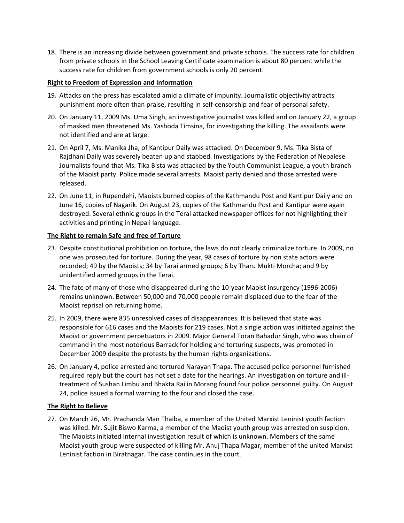18. There is an increasing divide between government and private schools. The success rate for children from private schools in the School Leaving Certificate examination is about 80 percent while the success rate for children from government schools is only 20 percent.

#### **Right to Freedom of Expression and Information**

- 19. Attacks on the press has escalated amid a climate of impunity. Journalistic objectivity attracts punishment more often than praise, resulting in self‐censorship and fear of personal safety.
- 20. On January 11, 2009 Ms. Uma Singh, an investigative journalist was killed and on January 22, a group of masked men threatened Ms. Yashoda Timsina, for investigating the killing. The assailants were not identified and are at large.
- 21. On April 7, Ms. Manika Jha, of Kantipur Daily was attacked. On December 9, Ms. Tika Bista of Rajdhani Daily was severely beaten up and stabbed. Investigations by the Federation of Nepalese Journalists found that Ms. Tika Bista was attacked by the Youth Communist League, a youth branch of the Maoist party. Police made several arrests. Maoist party denied and those arrested were released.
- 22. On June 11, in Rupendehi, Maoists burned copies of the Kathmandu Post and Kantipur Daily and on June 16, copies of Nagarik. On August 23, copies of the Kathmandu Post and Kantipur were again destroyed. Several ethnic groups in the Terai attacked newspaper offices for not highlighting their activities and printing in Nepali language.

### **The Right to remain Safe and free of Torture**

- 23. Despite constitutional prohibition on torture, the laws do not clearly criminalize torture. In 2009, no one was prosecuted for torture. During the year, 98 cases of torture by non state actors were recorded; 49 by the Maoists; 34 by Tarai armed groups; 6 by Tharu Mukti Morcha; and 9 by unidentified armed groups in the Terai.
- 24. The fate of many of those who disappeared during the 10‐year Maoist insurgency (1996‐2006) remains unknown. Between 50,000 and 70,000 people remain displaced due to the fear of the Maoist reprisal on returning home.
- 25. In 2009, there were 835 unresolved cases of disappearances. It is believed that state was responsible for 616 cases and the Maoists for 219 cases. Not a single action was initiated against the Maoist or government perpetuators in 2009. Major General Toran Bahadur Singh, who was chain of command in the most notorious Barrack for holding and torturing suspects, was promoted in December 2009 despite the protests by the human rights organizations.
- 26. On January 4, police arrested and tortured Narayan Thapa. The accused police personnel furnished required reply but the court has not set a date for the hearings. An investigation on torture and ill‐ treatment of Sushan Limbu and Bhakta Rai in Morang found four police personnel guilty. On August 24, police issued a formal warning to the four and closed the case.

## **The Right to Believe**

27. On March 26, Mr. Prachanda Man Thaiba, a member of the United Marxist Leninist youth faction was killed. Mr. Sujit Biswo Karma, a member of the Maoist youth group was arrested on suspicion. The Maoists initiated internal investigation result of which is unknown. Members of the same Maoist youth group were suspected of killing Mr. Anuj Thapa Magar, member of the united Marxist Leninist faction in Biratnagar. The case continues in the court.